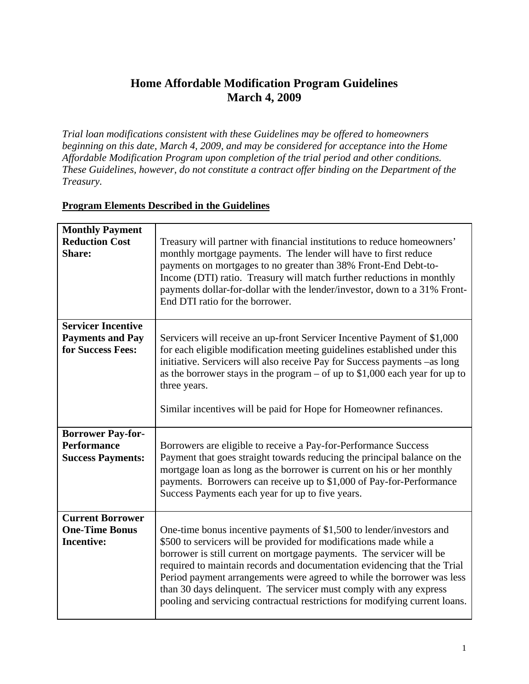### **Home Affordable Modification Program Guidelines March 4, 2009**

*Trial loan modifications consistent with these Guidelines may be offered to homeowners beginning on this date, March 4, 2009, and may be considered for acceptance into the Home Affordable Modification Program upon completion of the trial period and other conditions. These Guidelines, however, do not constitute a contract offer binding on the Department of the Treasury.*

|  |  | <b>Program Elements Described in the Guidelines</b> |
|--|--|-----------------------------------------------------|
|  |  |                                                     |

| <b>Monthly Payment</b><br><b>Reduction Cost</b><br>Share:                  | Treasury will partner with financial institutions to reduce homeowners'<br>monthly mortgage payments. The lender will have to first reduce<br>payments on mortgages to no greater than 38% Front-End Debt-to-<br>Income (DTI) ratio. Treasury will match further reductions in monthly<br>payments dollar-for-dollar with the lender/investor, down to a 31% Front-<br>End DTI ratio for the borrower.                                                                                                                        |
|----------------------------------------------------------------------------|-------------------------------------------------------------------------------------------------------------------------------------------------------------------------------------------------------------------------------------------------------------------------------------------------------------------------------------------------------------------------------------------------------------------------------------------------------------------------------------------------------------------------------|
| <b>Servicer Incentive</b><br><b>Payments and Pay</b><br>for Success Fees:  | Servicers will receive an up-front Servicer Incentive Payment of \$1,000<br>for each eligible modification meeting guidelines established under this<br>initiative. Servicers will also receive Pay for Success payments –as long<br>as the borrower stays in the program – of up to \$1,000 each year for up to<br>three years.<br>Similar incentives will be paid for Hope for Homeowner refinances.                                                                                                                        |
| <b>Borrower Pay-for-</b><br><b>Performance</b><br><b>Success Payments:</b> | Borrowers are eligible to receive a Pay-for-Performance Success<br>Payment that goes straight towards reducing the principal balance on the<br>mortgage loan as long as the borrower is current on his or her monthly<br>payments. Borrowers can receive up to \$1,000 of Pay-for-Performance<br>Success Payments each year for up to five years.                                                                                                                                                                             |
| <b>Current Borrower</b><br><b>One-Time Bonus</b><br><b>Incentive:</b>      | One-time bonus incentive payments of \$1,500 to lender/investors and<br>\$500 to servicers will be provided for modifications made while a<br>borrower is still current on mortgage payments. The servicer will be<br>required to maintain records and documentation evidencing that the Trial<br>Period payment arrangements were agreed to while the borrower was less<br>than 30 days delinquent. The servicer must comply with any express<br>pooling and servicing contractual restrictions for modifying current loans. |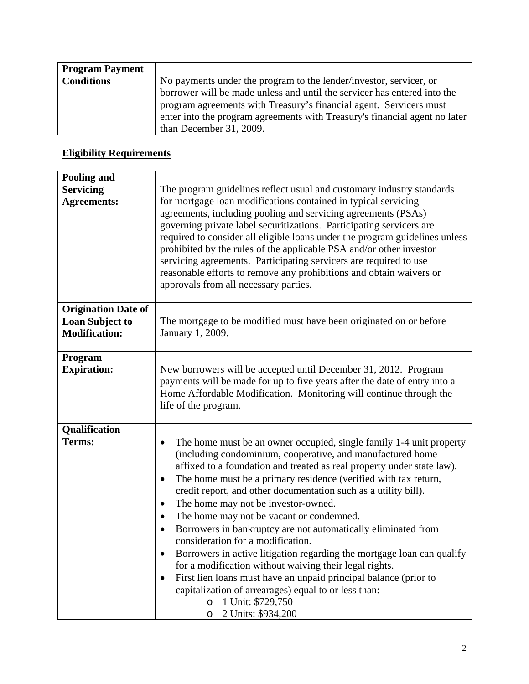| <b>Program Payment</b> |                                                                            |  |
|------------------------|----------------------------------------------------------------------------|--|
| <b>Conditions</b>      | No payments under the program to the lender/investor, servicer, or         |  |
|                        | borrower will be made unless and until the servicer has entered into the   |  |
|                        | program agreements with Treasury's financial agent. Servicers must         |  |
|                        | enter into the program agreements with Treasury's financial agent no later |  |
|                        | than December 31, 2009.                                                    |  |

# **Eligibility Requirements**

| <b>Pooling and</b><br><b>Servicing</b><br><b>Agreements:</b>                 | The program guidelines reflect usual and customary industry standards<br>for mortgage loan modifications contained in typical servicing<br>agreements, including pooling and servicing agreements (PSAs)<br>governing private label securitizations. Participating servicers are<br>required to consider all eligible loans under the program guidelines unless<br>prohibited by the rules of the applicable PSA and/or other investor<br>servicing agreements. Participating servicers are required to use<br>reasonable efforts to remove any prohibitions and obtain waivers or<br>approvals from all necessary parties.                                                                                                                                                                                                                                                                                                                              |
|------------------------------------------------------------------------------|----------------------------------------------------------------------------------------------------------------------------------------------------------------------------------------------------------------------------------------------------------------------------------------------------------------------------------------------------------------------------------------------------------------------------------------------------------------------------------------------------------------------------------------------------------------------------------------------------------------------------------------------------------------------------------------------------------------------------------------------------------------------------------------------------------------------------------------------------------------------------------------------------------------------------------------------------------|
| <b>Origination Date of</b><br><b>Loan Subject to</b><br><b>Modification:</b> | The mortgage to be modified must have been originated on or before<br>January 1, 2009.                                                                                                                                                                                                                                                                                                                                                                                                                                                                                                                                                                                                                                                                                                                                                                                                                                                                   |
| Program<br><b>Expiration:</b>                                                | New borrowers will be accepted until December 31, 2012. Program<br>payments will be made for up to five years after the date of entry into a<br>Home Affordable Modification. Monitoring will continue through the<br>life of the program.                                                                                                                                                                                                                                                                                                                                                                                                                                                                                                                                                                                                                                                                                                               |
| Qualification<br>Terms:                                                      | The home must be an owner occupied, single family 1-4 unit property<br>٠<br>(including condominium, cooperative, and manufactured home<br>affixed to a foundation and treated as real property under state law).<br>The home must be a primary residence (verified with tax return,<br>$\bullet$<br>credit report, and other documentation such as a utility bill).<br>The home may not be investor-owned.<br>$\bullet$<br>The home may not be vacant or condemned.<br>$\bullet$<br>Borrowers in bankruptcy are not automatically eliminated from<br>$\bullet$<br>consideration for a modification.<br>Borrowers in active litigation regarding the mortgage loan can qualify<br>$\bullet$<br>for a modification without waiving their legal rights.<br>First lien loans must have an unpaid principal balance (prior to<br>$\bullet$<br>capitalization of arrearages) equal to or less than:<br>1 Unit: \$729,750<br>$\circ$<br>2 Units: \$934,200<br>O |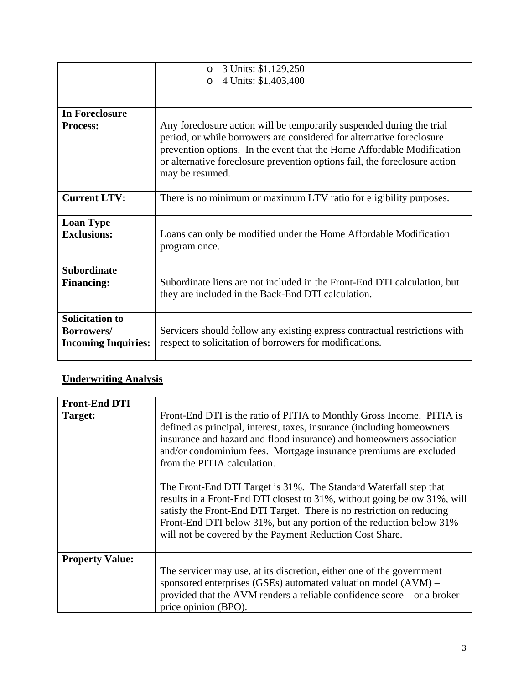|                                                                    | 3 Units: \$1,129,250<br>$\circ$<br>4 Units: \$1,403,400<br>$\Omega$                                                                                                                                                                                                                                                       |  |
|--------------------------------------------------------------------|---------------------------------------------------------------------------------------------------------------------------------------------------------------------------------------------------------------------------------------------------------------------------------------------------------------------------|--|
| In Foreclosure<br><b>Process:</b>                                  | Any foreclosure action will be temporarily suspended during the trial<br>period, or while borrowers are considered for alternative foreclosure<br>prevention options. In the event that the Home Affordable Modification<br>or alternative foreclosure prevention options fail, the foreclosure action<br>may be resumed. |  |
| <b>Current LTV:</b>                                                | There is no minimum or maximum LTV ratio for eligibility purposes.                                                                                                                                                                                                                                                        |  |
| <b>Loan Type</b><br><b>Exclusions:</b>                             | Loans can only be modified under the Home Affordable Modification<br>program once.                                                                                                                                                                                                                                        |  |
| <b>Subordinate</b><br><b>Financing:</b>                            | Subordinate liens are not included in the Front-End DTI calculation, but<br>they are included in the Back-End DTI calculation.                                                                                                                                                                                            |  |
| <b>Solicitation to</b><br>Borrowers/<br><b>Incoming Inquiries:</b> | Servicers should follow any existing express contractual restrictions with<br>respect to solicitation of borrowers for modifications.                                                                                                                                                                                     |  |

### **Underwriting Analysis**

| <b>Front-End DTI</b><br><b>Target:</b> | Front-End DTI is the ratio of PITIA to Monthly Gross Income. PITIA is<br>defined as principal, interest, taxes, insurance (including homeowners<br>insurance and hazard and flood insurance) and homeowners association<br>and/or condominium fees. Mortgage insurance premiums are excluded<br>from the PITIA calculation.<br>The Front-End DTI Target is 31%. The Standard Waterfall step that |
|----------------------------------------|--------------------------------------------------------------------------------------------------------------------------------------------------------------------------------------------------------------------------------------------------------------------------------------------------------------------------------------------------------------------------------------------------|
|                                        | results in a Front-End DTI closest to 31%, without going below 31%, will<br>satisfy the Front-End DTI Target. There is no restriction on reducing<br>Front-End DTI below 31%, but any portion of the reduction below 31%<br>will not be covered by the Payment Reduction Cost Share.                                                                                                             |
| <b>Property Value:</b>                 | The servicer may use, at its discretion, either one of the government<br>sponsored enterprises (GSEs) automated valuation model (AVM) –<br>provided that the AVM renders a reliable confidence score – or a broker<br>price opinion (BPO).                                                                                                                                                       |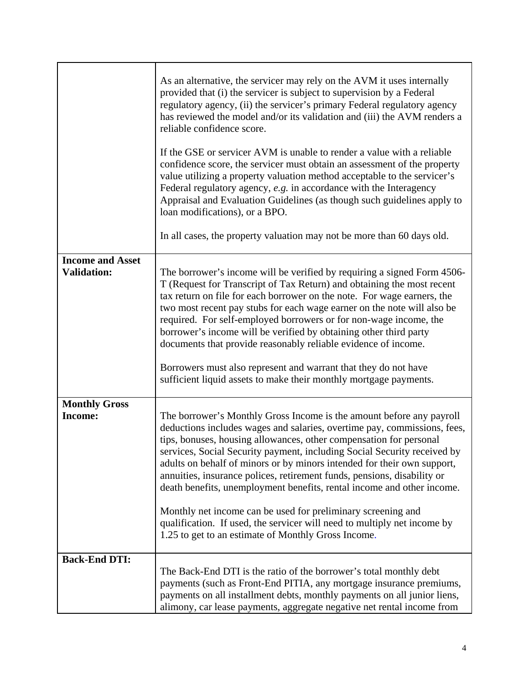|                                               | As an alternative, the servicer may rely on the AVM it uses internally<br>provided that (i) the servicer is subject to supervision by a Federal<br>regulatory agency, (ii) the servicer's primary Federal regulatory agency<br>has reviewed the model and/or its validation and (iii) the AVM renders a<br>reliable confidence score.<br>If the GSE or servicer AVM is unable to render a value with a reliable<br>confidence score, the servicer must obtain an assessment of the property<br>value utilizing a property valuation method acceptable to the servicer's<br>Federal regulatory agency, e.g. in accordance with the Interagency<br>Appraisal and Evaluation Guidelines (as though such guidelines apply to<br>loan modifications), or a BPO.<br>In all cases, the property valuation may not be more than 60 days old. |
|-----------------------------------------------|--------------------------------------------------------------------------------------------------------------------------------------------------------------------------------------------------------------------------------------------------------------------------------------------------------------------------------------------------------------------------------------------------------------------------------------------------------------------------------------------------------------------------------------------------------------------------------------------------------------------------------------------------------------------------------------------------------------------------------------------------------------------------------------------------------------------------------------|
| <b>Income and Asset</b><br><b>Validation:</b> | The borrower's income will be verified by requiring a signed Form 4506-<br>T (Request for Transcript of Tax Return) and obtaining the most recent                                                                                                                                                                                                                                                                                                                                                                                                                                                                                                                                                                                                                                                                                    |
|                                               | tax return on file for each borrower on the note. For wage earners, the<br>two most recent pay stubs for each wage earner on the note will also be<br>required. For self-employed borrowers or for non-wage income, the<br>borrower's income will be verified by obtaining other third party<br>documents that provide reasonably reliable evidence of income.                                                                                                                                                                                                                                                                                                                                                                                                                                                                       |
|                                               | Borrowers must also represent and warrant that they do not have<br>sufficient liquid assets to make their monthly mortgage payments.                                                                                                                                                                                                                                                                                                                                                                                                                                                                                                                                                                                                                                                                                                 |
| <b>Monthly Gross</b><br><b>Income:</b>        | The borrower's Monthly Gross Income is the amount before any payroll                                                                                                                                                                                                                                                                                                                                                                                                                                                                                                                                                                                                                                                                                                                                                                 |
|                                               | deductions includes wages and salaries, overtime pay, commissions, fees,<br>tips, bonuses, housing allowances, other compensation for personal<br>services, Social Security payment, including Social Security received by<br>adults on behalf of minors or by minors intended for their own support,<br>annuities, insurance polices, retirement funds, pensions, disability or<br>death benefits, unemployment benefits, rental income and other income.                                                                                                                                                                                                                                                                                                                                                                           |
|                                               | Monthly net income can be used for preliminary screening and<br>qualification. If used, the servicer will need to multiply net income by<br>1.25 to get to an estimate of Monthly Gross Income.                                                                                                                                                                                                                                                                                                                                                                                                                                                                                                                                                                                                                                      |
| <b>Back-End DTI:</b>                          | The Back-End DTI is the ratio of the borrower's total monthly debt<br>payments (such as Front-End PITIA, any mortgage insurance premiums,<br>payments on all installment debts, monthly payments on all junior liens,<br>alimony, car lease payments, aggregate negative net rental income from                                                                                                                                                                                                                                                                                                                                                                                                                                                                                                                                      |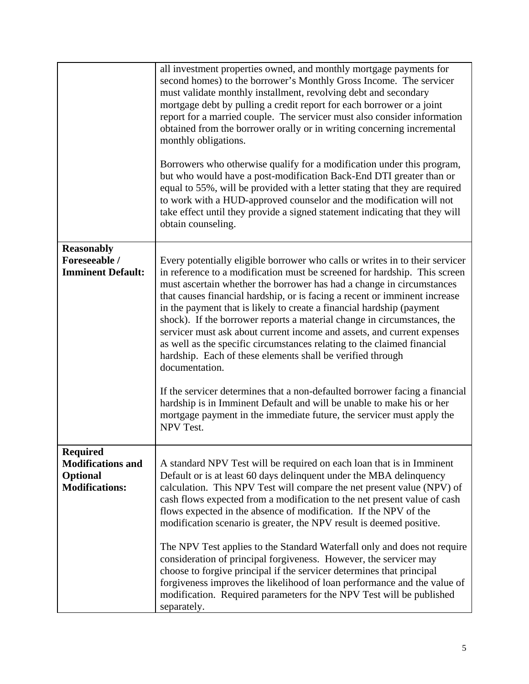|                                                                                         | all investment properties owned, and monthly mortgage payments for<br>second homes) to the borrower's Monthly Gross Income. The servicer<br>must validate monthly installment, revolving debt and secondary<br>mortgage debt by pulling a credit report for each borrower or a joint<br>report for a married couple. The servicer must also consider information<br>obtained from the borrower orally or in writing concerning incremental<br>monthly obligations.                                                                                                                                                                                                                                         |
|-----------------------------------------------------------------------------------------|------------------------------------------------------------------------------------------------------------------------------------------------------------------------------------------------------------------------------------------------------------------------------------------------------------------------------------------------------------------------------------------------------------------------------------------------------------------------------------------------------------------------------------------------------------------------------------------------------------------------------------------------------------------------------------------------------------|
|                                                                                         | Borrowers who otherwise qualify for a modification under this program,<br>but who would have a post-modification Back-End DTI greater than or<br>equal to 55%, will be provided with a letter stating that they are required<br>to work with a HUD-approved counselor and the modification will not<br>take effect until they provide a signed statement indicating that they will<br>obtain counseling.                                                                                                                                                                                                                                                                                                   |
| <b>Reasonably</b><br>Foreseeable /<br><b>Imminent Default:</b>                          | Every potentially eligible borrower who calls or writes in to their servicer<br>in reference to a modification must be screened for hardship. This screen<br>must ascertain whether the borrower has had a change in circumstances<br>that causes financial hardship, or is facing a recent or imminent increase<br>in the payment that is likely to create a financial hardship (payment<br>shock). If the borrower reports a material change in circumstances, the<br>servicer must ask about current income and assets, and current expenses<br>as well as the specific circumstances relating to the claimed financial<br>hardship. Each of these elements shall be verified through<br>documentation. |
|                                                                                         | If the servicer determines that a non-defaulted borrower facing a financial<br>hardship is in Imminent Default and will be unable to make his or her<br>mortgage payment in the immediate future, the servicer must apply the<br>NPV Test.                                                                                                                                                                                                                                                                                                                                                                                                                                                                 |
| <b>Required</b><br><b>Modifications and</b><br><b>Optional</b><br><b>Modifications:</b> | A standard NPV Test will be required on each loan that is in Imminent<br>Default or is at least 60 days delinquent under the MBA delinquency<br>calculation. This NPV Test will compare the net present value (NPV) of<br>cash flows expected from a modification to the net present value of cash<br>flows expected in the absence of modification. If the NPV of the<br>modification scenario is greater, the NPV result is deemed positive.                                                                                                                                                                                                                                                             |
|                                                                                         | The NPV Test applies to the Standard Waterfall only and does not require<br>consideration of principal forgiveness. However, the servicer may<br>choose to forgive principal if the servicer determines that principal<br>forgiveness improves the likelihood of loan performance and the value of<br>modification. Required parameters for the NPV Test will be published<br>separately.                                                                                                                                                                                                                                                                                                                  |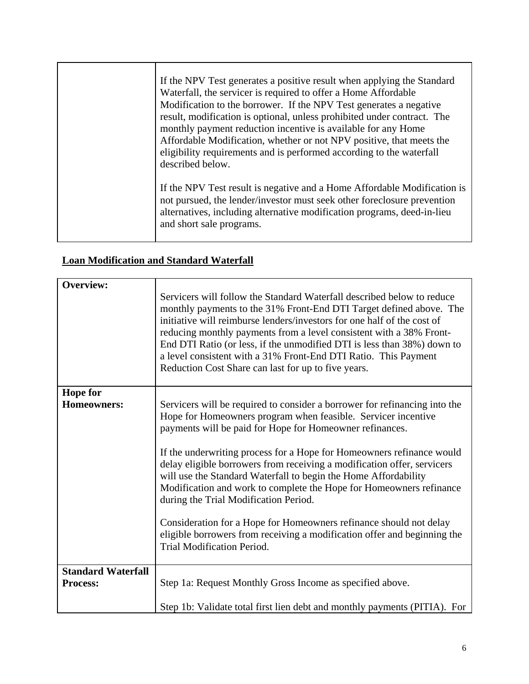|  | If the NPV Test generates a positive result when applying the Standard<br>Waterfall, the servicer is required to offer a Home Affordable<br>Modification to the borrower. If the NPV Test generates a negative<br>result, modification is optional, unless prohibited under contract. The<br>monthly payment reduction incentive is available for any Home<br>Affordable Modification, whether or not NPV positive, that meets the<br>eligibility requirements and is performed according to the waterfall<br>described below. |
|--|--------------------------------------------------------------------------------------------------------------------------------------------------------------------------------------------------------------------------------------------------------------------------------------------------------------------------------------------------------------------------------------------------------------------------------------------------------------------------------------------------------------------------------|
|  | If the NPV Test result is negative and a Home Affordable Modification is<br>not pursued, the lender/investor must seek other foreclosure prevention<br>alternatives, including alternative modification programs, deed-in-lieu<br>and short sale programs.                                                                                                                                                                                                                                                                     |

#### **Loan Modification and Standard Waterfall**

| <b>Overview:</b><br>Reduction Cost Share can last for up to five years. | Servicers will follow the Standard Waterfall described below to reduce<br>monthly payments to the 31% Front-End DTI Target defined above. The<br>initiative will reimburse lenders/investors for one half of the cost of<br>reducing monthly payments from a level consistent with a 38% Front-<br>End DTI Ratio (or less, if the unmodified DTI is less than 38%) down to<br>a level consistent with a 31% Front-End DTI Ratio. This Payment |
|-------------------------------------------------------------------------|-----------------------------------------------------------------------------------------------------------------------------------------------------------------------------------------------------------------------------------------------------------------------------------------------------------------------------------------------------------------------------------------------------------------------------------------------|
| <b>Hope for</b>                                                         |                                                                                                                                                                                                                                                                                                                                                                                                                                               |
|                                                                         |                                                                                                                                                                                                                                                                                                                                                                                                                                               |
| <b>Homeowners:</b>                                                      | Servicers will be required to consider a borrower for refinancing into the                                                                                                                                                                                                                                                                                                                                                                    |
|                                                                         | Hope for Homeowners program when feasible. Servicer incentive                                                                                                                                                                                                                                                                                                                                                                                 |
|                                                                         |                                                                                                                                                                                                                                                                                                                                                                                                                                               |
|                                                                         | payments will be paid for Hope for Homeowner refinances.                                                                                                                                                                                                                                                                                                                                                                                      |
|                                                                         |                                                                                                                                                                                                                                                                                                                                                                                                                                               |
| during the Trial Modification Period.                                   | If the underwriting process for a Hope for Homeowners refinance would<br>delay eligible borrowers from receiving a modification offer, servicers<br>will use the Standard Waterfall to begin the Home Affordability<br>Modification and work to complete the Hope for Homeowners refinance                                                                                                                                                    |
|                                                                         | Consideration for a Hope for Homeowners refinance should not delay                                                                                                                                                                                                                                                                                                                                                                            |
|                                                                         |                                                                                                                                                                                                                                                                                                                                                                                                                                               |
|                                                                         | eligible borrowers from receiving a modification offer and beginning the                                                                                                                                                                                                                                                                                                                                                                      |
| <b>Trial Modification Period.</b>                                       |                                                                                                                                                                                                                                                                                                                                                                                                                                               |
|                                                                         |                                                                                                                                                                                                                                                                                                                                                                                                                                               |
| <b>Standard Waterfall</b>                                               |                                                                                                                                                                                                                                                                                                                                                                                                                                               |
|                                                                         |                                                                                                                                                                                                                                                                                                                                                                                                                                               |
| <b>Process:</b>                                                         | Step 1a: Request Monthly Gross Income as specified above.                                                                                                                                                                                                                                                                                                                                                                                     |
|                                                                         |                                                                                                                                                                                                                                                                                                                                                                                                                                               |
|                                                                         | Step 1b: Validate total first lien debt and monthly payments (PITIA). For                                                                                                                                                                                                                                                                                                                                                                     |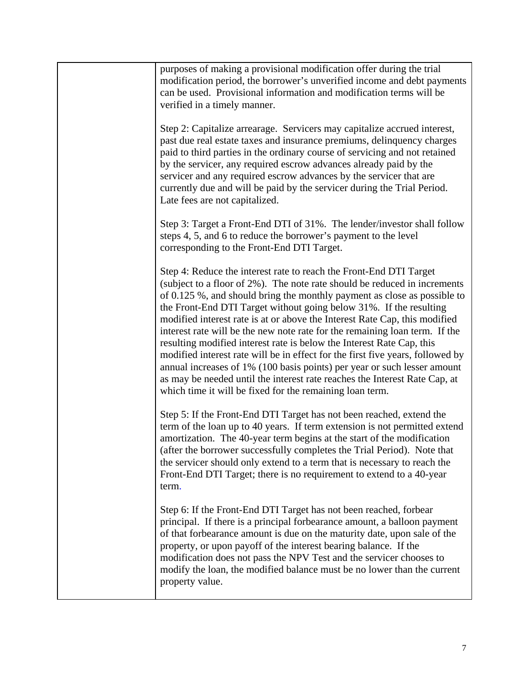| purposes of making a provisional modification offer during the trial<br>modification period, the borrower's unverified income and debt payments<br>can be used. Provisional information and modification terms will be<br>verified in a timely manner.                                                                                                                                                                                                                                                                                                                                                                                                                                                                                                                                                                                          |
|-------------------------------------------------------------------------------------------------------------------------------------------------------------------------------------------------------------------------------------------------------------------------------------------------------------------------------------------------------------------------------------------------------------------------------------------------------------------------------------------------------------------------------------------------------------------------------------------------------------------------------------------------------------------------------------------------------------------------------------------------------------------------------------------------------------------------------------------------|
| Step 2: Capitalize arrearage. Servicers may capitalize accrued interest,<br>past due real estate taxes and insurance premiums, delinquency charges<br>paid to third parties in the ordinary course of servicing and not retained<br>by the servicer, any required escrow advances already paid by the<br>servicer and any required escrow advances by the servicer that are<br>currently due and will be paid by the servicer during the Trial Period.<br>Late fees are not capitalized.                                                                                                                                                                                                                                                                                                                                                        |
| Step 3: Target a Front-End DTI of 31%. The lender/investor shall follow<br>steps 4, 5, and 6 to reduce the borrower's payment to the level<br>corresponding to the Front-End DTI Target.                                                                                                                                                                                                                                                                                                                                                                                                                                                                                                                                                                                                                                                        |
| Step 4: Reduce the interest rate to reach the Front-End DTI Target<br>(subject to a floor of 2%). The note rate should be reduced in increments<br>of 0.125 %, and should bring the monthly payment as close as possible to<br>the Front-End DTI Target without going below 31%. If the resulting<br>modified interest rate is at or above the Interest Rate Cap, this modified<br>interest rate will be the new note rate for the remaining loan term. If the<br>resulting modified interest rate is below the Interest Rate Cap, this<br>modified interest rate will be in effect for the first five years, followed by<br>annual increases of 1% (100 basis points) per year or such lesser amount<br>as may be needed until the interest rate reaches the Interest Rate Cap, at<br>which time it will be fixed for the remaining loan term. |
| Step 5: If the Front-End DTI Target has not been reached, extend the<br>term of the loan up to 40 years. If term extension is not permitted extend<br>amortization. The 40-year term begins at the start of the modification<br>(after the borrower successfully completes the Trial Period). Note that<br>the servicer should only extend to a term that is necessary to reach the<br>Front-End DTI Target; there is no requirement to extend to a 40-year<br>term.                                                                                                                                                                                                                                                                                                                                                                            |
| Step 6: If the Front-End DTI Target has not been reached, forbear<br>principal. If there is a principal forbearance amount, a balloon payment<br>of that forbearance amount is due on the maturity date, upon sale of the<br>property, or upon payoff of the interest bearing balance. If the<br>modification does not pass the NPV Test and the servicer chooses to<br>modify the loan, the modified balance must be no lower than the current<br>property value.                                                                                                                                                                                                                                                                                                                                                                              |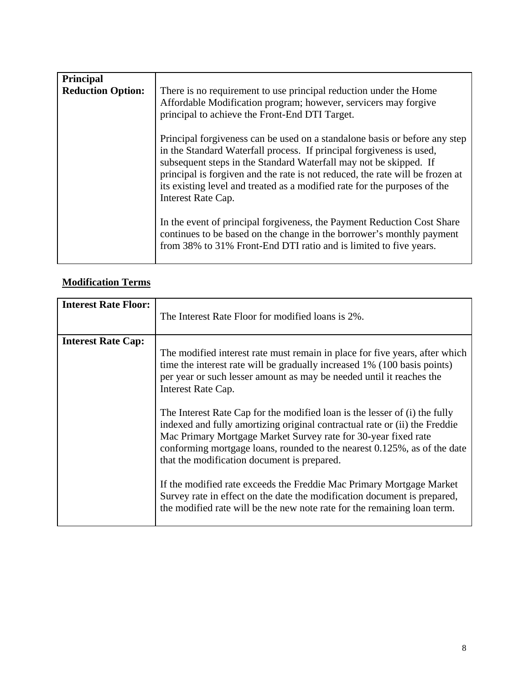| Principal<br><b>Reduction Option:</b> | There is no requirement to use principal reduction under the Home<br>Affordable Modification program; however, servicers may forgive<br>principal to achieve the Front-End DTI Target.                                                                                                                                                                                                                      |
|---------------------------------------|-------------------------------------------------------------------------------------------------------------------------------------------------------------------------------------------------------------------------------------------------------------------------------------------------------------------------------------------------------------------------------------------------------------|
|                                       | Principal forgiveness can be used on a standalone basis or before any step<br>in the Standard Waterfall process. If principal forgiveness is used,<br>subsequent steps in the Standard Waterfall may not be skipped. If<br>principal is forgiven and the rate is not reduced, the rate will be frozen at<br>its existing level and treated as a modified rate for the purposes of the<br>Interest Rate Cap. |
|                                       | In the event of principal forgiveness, the Payment Reduction Cost Share<br>continues to be based on the change in the borrower's monthly payment<br>from 38% to 31% Front-End DTI ratio and is limited to five years.                                                                                                                                                                                       |

## **Modification Terms**

| <b>Interest Rate Floor:</b> | The Interest Rate Floor for modified loans is 2%.                                                                                                                                                                                                                                                                                                     |
|-----------------------------|-------------------------------------------------------------------------------------------------------------------------------------------------------------------------------------------------------------------------------------------------------------------------------------------------------------------------------------------------------|
| <b>Interest Rate Cap:</b>   | The modified interest rate must remain in place for five years, after which<br>time the interest rate will be gradually increased 1% (100 basis points)<br>per year or such lesser amount as may be needed until it reaches the<br>Interest Rate Cap.                                                                                                 |
|                             | The Interest Rate Cap for the modified loan is the lesser of (i) the fully<br>indexed and fully amortizing original contractual rate or (ii) the Freddie<br>Mac Primary Mortgage Market Survey rate for 30-year fixed rate<br>conforming mortgage loans, rounded to the nearest 0.125%, as of the date<br>that the modification document is prepared. |
|                             | If the modified rate exceeds the Freddie Mac Primary Mortgage Market<br>Survey rate in effect on the date the modification document is prepared,<br>the modified rate will be the new note rate for the remaining loan term.                                                                                                                          |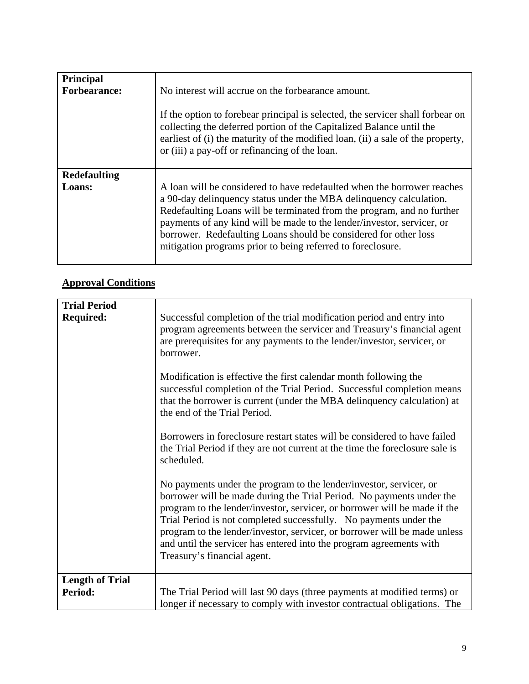| <b>Principal</b><br><b>Forbearance:</b> | No interest will accrue on the forbearance amount.<br>If the option to forebear principal is selected, the servicer shall forbear on<br>collecting the deferred portion of the Capitalized Balance until the<br>earliest of (i) the maturity of the modified loan, (ii) a sale of the property,<br>or (iii) a pay-off or refinancing of the loan.                                                                                    |
|-----------------------------------------|--------------------------------------------------------------------------------------------------------------------------------------------------------------------------------------------------------------------------------------------------------------------------------------------------------------------------------------------------------------------------------------------------------------------------------------|
| <b>Redefaulting</b><br>Loans:           | A loan will be considered to have redefaulted when the borrower reaches<br>a 90-day delinquency status under the MBA delinquency calculation.<br>Redefaulting Loans will be terminated from the program, and no further<br>payments of any kind will be made to the lender/investor, servicer, or<br>borrower. Redefaulting Loans should be considered for other loss<br>mitigation programs prior to being referred to foreclosure. |

# **Approval Conditions**

| <b>Trial Period</b><br><b>Required:</b> | Successful completion of the trial modification period and entry into<br>program agreements between the servicer and Treasury's financial agent<br>are prerequisites for any payments to the lender/investor, servicer, or<br>borrower.                                                                                                                                                                                                                                         |
|-----------------------------------------|---------------------------------------------------------------------------------------------------------------------------------------------------------------------------------------------------------------------------------------------------------------------------------------------------------------------------------------------------------------------------------------------------------------------------------------------------------------------------------|
|                                         | Modification is effective the first calendar month following the<br>successful completion of the Trial Period. Successful completion means<br>that the borrower is current (under the MBA delinquency calculation) at<br>the end of the Trial Period.                                                                                                                                                                                                                           |
|                                         | Borrowers in foreclosure restart states will be considered to have failed<br>the Trial Period if they are not current at the time the foreclosure sale is<br>scheduled.                                                                                                                                                                                                                                                                                                         |
|                                         | No payments under the program to the lender/investor, servicer, or<br>borrower will be made during the Trial Period. No payments under the<br>program to the lender/investor, servicer, or borrower will be made if the<br>Trial Period is not completed successfully. No payments under the<br>program to the lender/investor, servicer, or borrower will be made unless<br>and until the servicer has entered into the program agreements with<br>Treasury's financial agent. |
| <b>Length of Trial</b><br>Period:       | The Trial Period will last 90 days (three payments at modified terms) or<br>longer if necessary to comply with investor contractual obligations. The                                                                                                                                                                                                                                                                                                                            |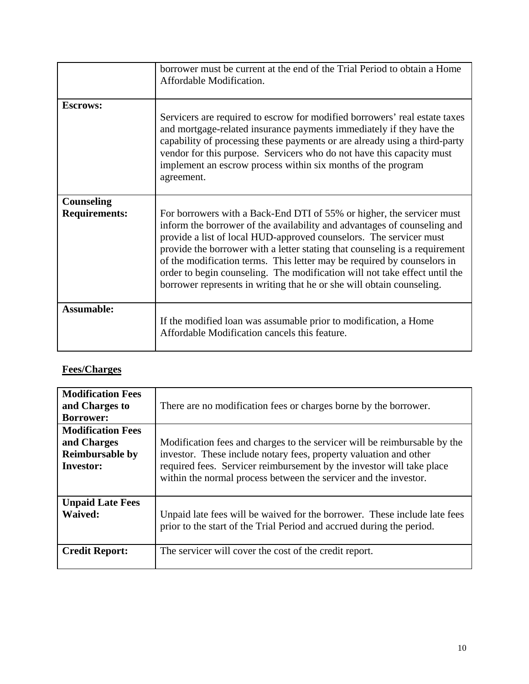|                                           | borrower must be current at the end of the Trial Period to obtain a Home<br>Affordable Modification.                                                                                                                                                                                                                                                                                                                                                                                                                                     |
|-------------------------------------------|------------------------------------------------------------------------------------------------------------------------------------------------------------------------------------------------------------------------------------------------------------------------------------------------------------------------------------------------------------------------------------------------------------------------------------------------------------------------------------------------------------------------------------------|
| <b>Escrows:</b>                           | Servicers are required to escrow for modified borrowers' real estate taxes<br>and mortgage-related insurance payments immediately if they have the<br>capability of processing these payments or are already using a third-party<br>vendor for this purpose. Servicers who do not have this capacity must<br>implement an escrow process within six months of the program<br>agreement.                                                                                                                                                  |
| <b>Counseling</b><br><b>Requirements:</b> | For borrowers with a Back-End DTI of 55% or higher, the servicer must<br>inform the borrower of the availability and advantages of counseling and<br>provide a list of local HUD-approved counselors. The servicer must<br>provide the borrower with a letter stating that counseling is a requirement<br>of the modification terms. This letter may be required by counselors in<br>order to begin counseling. The modification will not take effect until the<br>borrower represents in writing that he or she will obtain counseling. |
| <b>Assumable:</b>                         | If the modified loan was assumable prior to modification, a Home<br>Affordable Modification cancels this feature.                                                                                                                                                                                                                                                                                                                                                                                                                        |

#### **Fees/Charges**

| <b>Modification Fees</b><br>and Charges to<br><b>Borrower:</b> | There are no modification fees or charges borne by the borrower.          |
|----------------------------------------------------------------|---------------------------------------------------------------------------|
| <b>Modification Fees</b>                                       | Modification fees and charges to the servicer will be reimbursable by the |
| and Charges                                                    | investor. These include notary fees, property valuation and other         |
| <b>Reimbursable by</b>                                         | required fees. Servicer reimbursement by the investor will take place     |
| <b>Investor:</b>                                               | within the normal process between the servicer and the investor.          |
| <b>Unpaid Late Fees</b>                                        | Unpaid late fees will be waived for the borrower. These include late fees |
| Waived:                                                        | prior to the start of the Trial Period and accrued during the period.     |
| <b>Credit Report:</b>                                          | The servicer will cover the cost of the credit report.                    |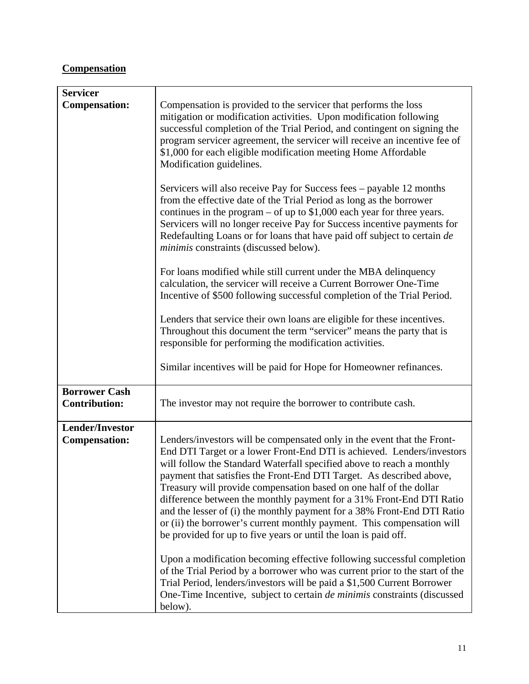### **Compensation**

| <b>Servicer</b><br><b>Compensation:</b>        | Compensation is provided to the servicer that performs the loss<br>mitigation or modification activities. Upon modification following<br>successful completion of the Trial Period, and contingent on signing the<br>program servicer agreement, the servicer will receive an incentive fee of<br>\$1,000 for each eligible modification meeting Home Affordable<br>Modification guidelines.                                                                                                                                                                                                                                                                                                                                                                                                                                                                                                                 |
|------------------------------------------------|--------------------------------------------------------------------------------------------------------------------------------------------------------------------------------------------------------------------------------------------------------------------------------------------------------------------------------------------------------------------------------------------------------------------------------------------------------------------------------------------------------------------------------------------------------------------------------------------------------------------------------------------------------------------------------------------------------------------------------------------------------------------------------------------------------------------------------------------------------------------------------------------------------------|
|                                                | Servicers will also receive Pay for Success fees – payable 12 months<br>from the effective date of the Trial Period as long as the borrower<br>continues in the program $-$ of up to \$1,000 each year for three years.<br>Servicers will no longer receive Pay for Success incentive payments for<br>Redefaulting Loans or for loans that have paid off subject to certain de<br>minimis constraints (discussed below).                                                                                                                                                                                                                                                                                                                                                                                                                                                                                     |
|                                                | For loans modified while still current under the MBA delinquency<br>calculation, the servicer will receive a Current Borrower One-Time<br>Incentive of \$500 following successful completion of the Trial Period.                                                                                                                                                                                                                                                                                                                                                                                                                                                                                                                                                                                                                                                                                            |
|                                                | Lenders that service their own loans are eligible for these incentives.<br>Throughout this document the term "servicer" means the party that is<br>responsible for performing the modification activities.                                                                                                                                                                                                                                                                                                                                                                                                                                                                                                                                                                                                                                                                                                   |
|                                                | Similar incentives will be paid for Hope for Homeowner refinances.                                                                                                                                                                                                                                                                                                                                                                                                                                                                                                                                                                                                                                                                                                                                                                                                                                           |
| <b>Borrower Cash</b><br><b>Contribution:</b>   | The investor may not require the borrower to contribute cash.                                                                                                                                                                                                                                                                                                                                                                                                                                                                                                                                                                                                                                                                                                                                                                                                                                                |
| <b>Lender/Investor</b><br><b>Compensation:</b> | Lenders/investors will be compensated only in the event that the Front-<br>End DTI Target or a lower Front-End DTI is achieved. Lenders/investors<br>will follow the Standard Waterfall specified above to reach a monthly<br>payment that satisfies the Front-End DTI Target. As described above,<br>Treasury will provide compensation based on one half of the dollar<br>difference between the monthly payment for a 31% Front-End DTI Ratio<br>and the lesser of (i) the monthly payment for a 38% Front-End DTI Ratio<br>or (ii) the borrower's current monthly payment. This compensation will<br>be provided for up to five years or until the loan is paid off.<br>Upon a modification becoming effective following successful completion<br>of the Trial Period by a borrower who was current prior to the start of the<br>Trial Period, lenders/investors will be paid a \$1,500 Current Borrower |
|                                                | One-Time Incentive, subject to certain de minimis constraints (discussed<br>below).                                                                                                                                                                                                                                                                                                                                                                                                                                                                                                                                                                                                                                                                                                                                                                                                                          |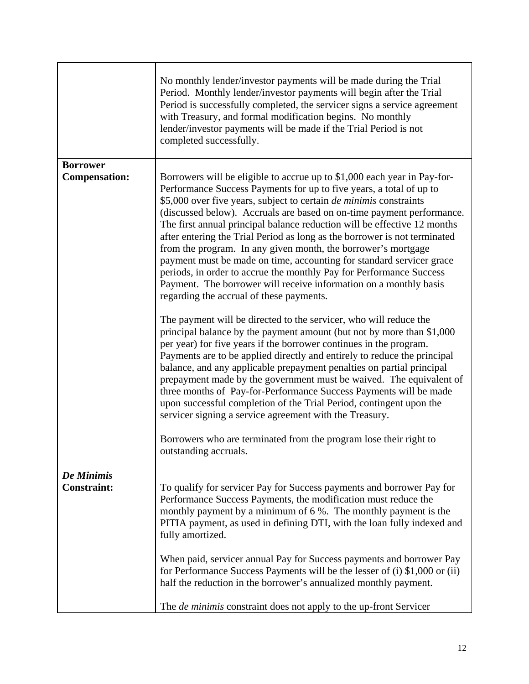|                                         | No monthly lender/investor payments will be made during the Trial<br>Period. Monthly lender/investor payments will begin after the Trial<br>Period is successfully completed, the servicer signs a service agreement<br>with Treasury, and formal modification begins. No monthly<br>lender/investor payments will be made if the Trial Period is not<br>completed successfully.                                                                                                                                                                                                                                                                                                                                                                                                                                                                                                                                                                                                                                                                                                                                                                                                                                                                                                                                                                                                                                                                        |
|-----------------------------------------|---------------------------------------------------------------------------------------------------------------------------------------------------------------------------------------------------------------------------------------------------------------------------------------------------------------------------------------------------------------------------------------------------------------------------------------------------------------------------------------------------------------------------------------------------------------------------------------------------------------------------------------------------------------------------------------------------------------------------------------------------------------------------------------------------------------------------------------------------------------------------------------------------------------------------------------------------------------------------------------------------------------------------------------------------------------------------------------------------------------------------------------------------------------------------------------------------------------------------------------------------------------------------------------------------------------------------------------------------------------------------------------------------------------------------------------------------------|
| <b>Borrower</b><br><b>Compensation:</b> | Borrowers will be eligible to accrue up to \$1,000 each year in Pay-for-<br>Performance Success Payments for up to five years, a total of up to<br>\$5,000 over five years, subject to certain <i>de minimis</i> constraints<br>(discussed below). Accruals are based on on-time payment performance.<br>The first annual principal balance reduction will be effective 12 months<br>after entering the Trial Period as long as the borrower is not terminated<br>from the program. In any given month, the borrower's mortgage<br>payment must be made on time, accounting for standard servicer grace<br>periods, in order to accrue the monthly Pay for Performance Success<br>Payment. The borrower will receive information on a monthly basis<br>regarding the accrual of these payments.<br>The payment will be directed to the servicer, who will reduce the<br>principal balance by the payment amount (but not by more than \$1,000)<br>per year) for five years if the borrower continues in the program.<br>Payments are to be applied directly and entirely to reduce the principal<br>balance, and any applicable prepayment penalties on partial principal<br>prepayment made by the government must be waived. The equivalent of<br>three months of Pay-for-Performance Success Payments will be made<br>upon successful completion of the Trial Period, contingent upon the<br>servicer signing a service agreement with the Treasury. |
|                                         | Borrowers who are terminated from the program lose their right to<br>outstanding accruals.                                                                                                                                                                                                                                                                                                                                                                                                                                                                                                                                                                                                                                                                                                                                                                                                                                                                                                                                                                                                                                                                                                                                                                                                                                                                                                                                                              |
| De Minimis<br><b>Constraint:</b>        | To qualify for servicer Pay for Success payments and borrower Pay for<br>Performance Success Payments, the modification must reduce the<br>monthly payment by a minimum of $6\%$ . The monthly payment is the<br>PITIA payment, as used in defining DTI, with the loan fully indexed and<br>fully amortized.<br>When paid, servicer annual Pay for Success payments and borrower Pay<br>for Performance Success Payments will be the lesser of (i) \$1,000 or (ii)<br>half the reduction in the borrower's annualized monthly payment.<br>The de minimis constraint does not apply to the up-front Servicer                                                                                                                                                                                                                                                                                                                                                                                                                                                                                                                                                                                                                                                                                                                                                                                                                                             |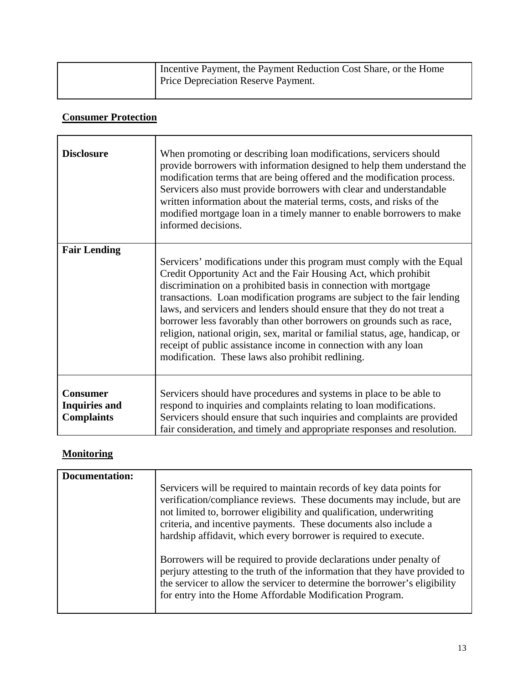| Incentive Payment, the Payment Reduction Cost Share, or the Home<br><b>Price Depreciation Reserve Payment.</b> |  |
|----------------------------------------------------------------------------------------------------------------|--|
|----------------------------------------------------------------------------------------------------------------|--|

## **Consumer Protection**

| <b>Disclosure</b>                                            | When promoting or describing loan modifications, servicers should<br>provide borrowers with information designed to help them understand the<br>modification terms that are being offered and the modification process.<br>Servicers also must provide borrowers with clear and understandable<br>written information about the material terms, costs, and risks of the<br>modified mortgage loan in a timely manner to enable borrowers to make<br>informed decisions.                                                                                                                                                                               |
|--------------------------------------------------------------|-------------------------------------------------------------------------------------------------------------------------------------------------------------------------------------------------------------------------------------------------------------------------------------------------------------------------------------------------------------------------------------------------------------------------------------------------------------------------------------------------------------------------------------------------------------------------------------------------------------------------------------------------------|
| <b>Fair Lending</b>                                          | Servicers' modifications under this program must comply with the Equal<br>Credit Opportunity Act and the Fair Housing Act, which prohibit<br>discrimination on a prohibited basis in connection with mortgage<br>transactions. Loan modification programs are subject to the fair lending<br>laws, and servicers and lenders should ensure that they do not treat a<br>borrower less favorably than other borrowers on grounds such as race,<br>religion, national origin, sex, marital or familial status, age, handicap, or<br>receipt of public assistance income in connection with any loan<br>modification. These laws also prohibit redlining. |
| <b>Consumer</b><br><b>Inquiries and</b><br><b>Complaints</b> | Servicers should have procedures and systems in place to be able to<br>respond to inquiries and complaints relating to loan modifications.<br>Servicers should ensure that such inquiries and complaints are provided<br>fair consideration, and timely and appropriate responses and resolution.                                                                                                                                                                                                                                                                                                                                                     |

## **Monitoring**

| <b>Documentation:</b> | Servicers will be required to maintain records of key data points for<br>verification/compliance reviews. These documents may include, but are<br>not limited to, borrower eligibility and qualification, underwriting<br>criteria, and incentive payments. These documents also include a<br>hardship affidavit, which every borrower is required to execute. |
|-----------------------|----------------------------------------------------------------------------------------------------------------------------------------------------------------------------------------------------------------------------------------------------------------------------------------------------------------------------------------------------------------|
|                       | Borrowers will be required to provide declarations under penalty of<br>perjury attesting to the truth of the information that they have provided to<br>the servicer to allow the servicer to determine the borrower's eligibility<br>for entry into the Home Affordable Modification Program.                                                                  |

L,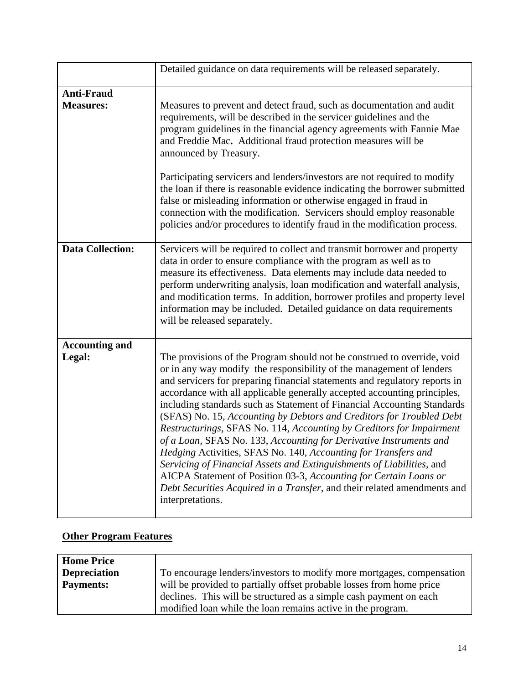|                                       | Detailed guidance on data requirements will be released separately.                                                                                                                                                                                                                                                                                                                                                                                                                                                                                                                                                                                                                                                                                                                                                                                                                                                        |
|---------------------------------------|----------------------------------------------------------------------------------------------------------------------------------------------------------------------------------------------------------------------------------------------------------------------------------------------------------------------------------------------------------------------------------------------------------------------------------------------------------------------------------------------------------------------------------------------------------------------------------------------------------------------------------------------------------------------------------------------------------------------------------------------------------------------------------------------------------------------------------------------------------------------------------------------------------------------------|
| <b>Anti-Fraud</b><br><b>Measures:</b> | Measures to prevent and detect fraud, such as documentation and audit<br>requirements, will be described in the servicer guidelines and the<br>program guidelines in the financial agency agreements with Fannie Mae<br>and Freddie Mac. Additional fraud protection measures will be<br>announced by Treasury.                                                                                                                                                                                                                                                                                                                                                                                                                                                                                                                                                                                                            |
|                                       | Participating servicers and lenders/investors are not required to modify<br>the loan if there is reasonable evidence indicating the borrower submitted<br>false or misleading information or otherwise engaged in fraud in<br>connection with the modification. Servicers should employ reasonable<br>policies and/or procedures to identify fraud in the modification process.                                                                                                                                                                                                                                                                                                                                                                                                                                                                                                                                            |
| <b>Data Collection:</b>               | Servicers will be required to collect and transmit borrower and property<br>data in order to ensure compliance with the program as well as to<br>measure its effectiveness. Data elements may include data needed to<br>perform underwriting analysis, loan modification and waterfall analysis,<br>and modification terms. In addition, borrower profiles and property level<br>information may be included. Detailed guidance on data requirements<br>will be released separately.                                                                                                                                                                                                                                                                                                                                                                                                                                       |
| <b>Accounting and</b><br>Legal:       | The provisions of the Program should not be construed to override, void<br>or in any way modify the responsibility of the management of lenders<br>and servicers for preparing financial statements and regulatory reports in<br>accordance with all applicable generally accepted accounting principles,<br>including standards such as Statement of Financial Accounting Standards<br>(SFAS) No. 15, Accounting by Debtors and Creditors for Troubled Debt<br>Restructurings, SFAS No. 114, Accounting by Creditors for Impairment<br>of a Loan, SFAS No. 133, Accounting for Derivative Instruments and<br>Hedging Activities, SFAS No. 140, Accounting for Transfers and<br>Servicing of Financial Assets and Extinguishments of Liabilities, and<br>AICPA Statement of Position 03-3, Accounting for Certain Loans or<br>Debt Securities Acquired in a Transfer, and their related amendments and<br>interpretations. |

## **Other Program Features**

| <b>Home Price</b>   |                                                                       |
|---------------------|-----------------------------------------------------------------------|
| <b>Depreciation</b> | To encourage lenders/investors to modify more mortgages, compensation |
| <b>Payments:</b>    | will be provided to partially offset probable losses from home price  |
|                     | declines. This will be structured as a simple cash payment on each    |
|                     | modified loan while the loan remains active in the program.           |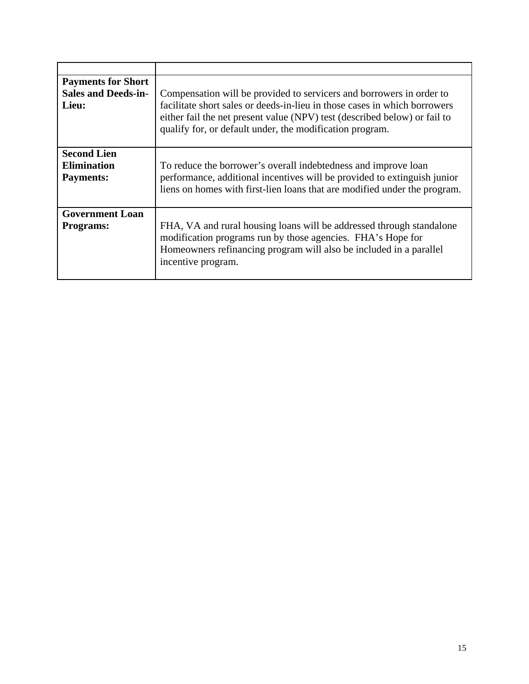| <b>Payments for Short</b><br><b>Sales and Deeds-in-</b><br>Lieu: | Compensation will be provided to servicers and borrowers in order to<br>facilitate short sales or deeds-in-lieu in those cases in which borrowers<br>either fail the net present value (NPV) test (described below) or fail to<br>qualify for, or default under, the modification program. |
|------------------------------------------------------------------|--------------------------------------------------------------------------------------------------------------------------------------------------------------------------------------------------------------------------------------------------------------------------------------------|
| <b>Second Lien</b><br><b>Elimination</b><br><b>Payments:</b>     | To reduce the borrower's overall indebtedness and improve loan<br>performance, additional incentives will be provided to extinguish junior<br>liens on homes with first-lien loans that are modified under the program.                                                                    |
| <b>Government Loan</b><br><b>Programs:</b>                       | FHA, VA and rural housing loans will be addressed through standalone<br>modification programs run by those agencies. FHA's Hope for<br>Homeowners refinancing program will also be included in a parallel<br>incentive program.                                                            |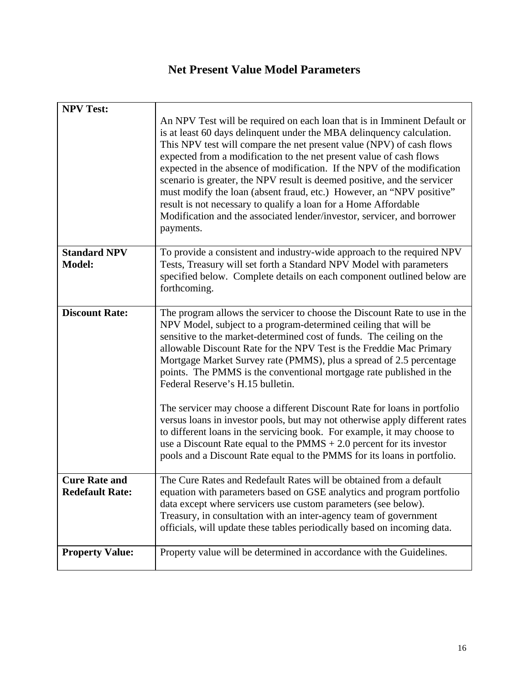# **Net Present Value Model Parameters**

| <b>NPV Test:</b>                               | An NPV Test will be required on each loan that is in Imminent Default or<br>is at least 60 days delinquent under the MBA delinquency calculation.<br>This NPV test will compare the net present value (NPV) of cash flows<br>expected from a modification to the net present value of cash flows<br>expected in the absence of modification. If the NPV of the modification<br>scenario is greater, the NPV result is deemed positive, and the servicer<br>must modify the loan (absent fraud, etc.) However, an "NPV positive"<br>result is not necessary to qualify a loan for a Home Affordable<br>Modification and the associated lender/investor, servicer, and borrower<br>payments. |
|------------------------------------------------|--------------------------------------------------------------------------------------------------------------------------------------------------------------------------------------------------------------------------------------------------------------------------------------------------------------------------------------------------------------------------------------------------------------------------------------------------------------------------------------------------------------------------------------------------------------------------------------------------------------------------------------------------------------------------------------------|
| <b>Standard NPV</b><br><b>Model:</b>           | To provide a consistent and industry-wide approach to the required NPV<br>Tests, Treasury will set forth a Standard NPV Model with parameters<br>specified below. Complete details on each component outlined below are<br>forthcoming.                                                                                                                                                                                                                                                                                                                                                                                                                                                    |
| <b>Discount Rate:</b>                          | The program allows the servicer to choose the Discount Rate to use in the<br>NPV Model, subject to a program-determined ceiling that will be<br>sensitive to the market-determined cost of funds. The ceiling on the<br>allowable Discount Rate for the NPV Test is the Freddie Mac Primary<br>Mortgage Market Survey rate (PMMS), plus a spread of 2.5 percentage<br>points. The PMMS is the conventional mortgage rate published in the<br>Federal Reserve's H.15 bulletin.                                                                                                                                                                                                              |
|                                                | The servicer may choose a different Discount Rate for loans in portfolio<br>versus loans in investor pools, but may not otherwise apply different rates<br>to different loans in the servicing book. For example, it may choose to<br>use a Discount Rate equal to the PMMS $+ 2.0$ percent for its investor<br>pools and a Discount Rate equal to the PMMS for its loans in portfolio.                                                                                                                                                                                                                                                                                                    |
| <b>Cure Rate and</b><br><b>Redefault Rate:</b> | The Cure Rates and Redefault Rates will be obtained from a default<br>equation with parameters based on GSE analytics and program portfolio<br>data except where servicers use custom parameters (see below).<br>Treasury, in consultation with an inter-agency team of government<br>officials, will update these tables periodically based on incoming data.                                                                                                                                                                                                                                                                                                                             |
| <b>Property Value:</b>                         | Property value will be determined in accordance with the Guidelines.                                                                                                                                                                                                                                                                                                                                                                                                                                                                                                                                                                                                                       |